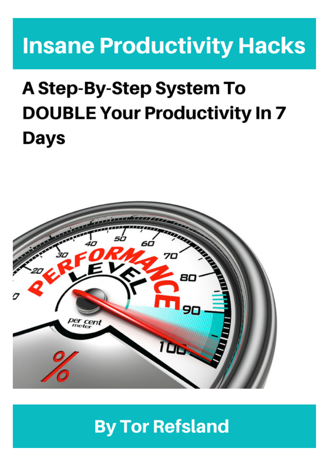# **Insane Productivity Hacks**

# **A Step-By-Step System To DOUBLE Your Productivity In 7 Days**



## **By Tor Refsland**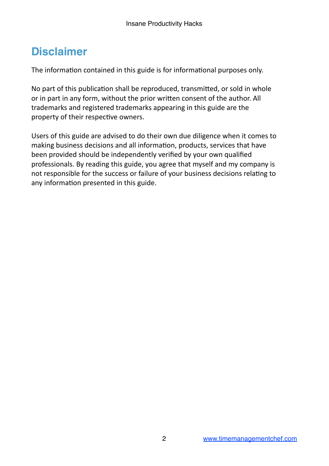### **Disclaimer**

The information contained in this guide is for informational purposes only.

No part of this publication shall be reproduced, transmitted, or sold in whole or in part in any form, without the prior written consent of the author. All trademarks and registered trademarks appearing in this guide are the property of their respective owners.

Users of this guide are advised to do their own due diligence when it comes to making business decisions and all information, products, services that have been provided should be independently verified by your own qualified professionals. By reading this guide, you agree that myself and my company is not responsible for the success or failure of your business decisions relating to any information presented in this guide.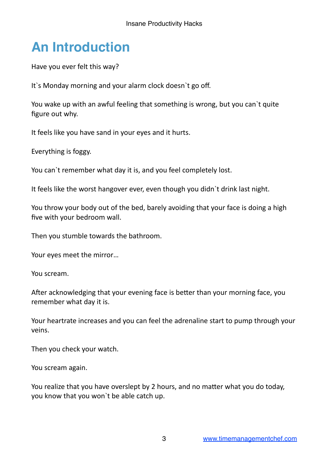## **An Introduction**

Have you ever felt this way?

It's Monday morning and your alarm clock doesn't go off.

You wake up with an awful feeling that something is wrong, but you can't quite figure out why.

It feels like you have sand in your eyes and it hurts.

Everything is foggy.

You can't remember what day it is, and you feel completely lost.

It feels like the worst hangover ever, even though you didn't drink last night.

You throw your body out of the bed, barely avoiding that your face is doing a high five with your bedroom wall.

Then you stumble towards the bathroom.

Your eyes meet the mirror...

You scream.

After acknowledging that your evening face is better than your morning face, you remember what day it is.

Your heartrate increases and you can feel the adrenaline start to pump through your veins.

Then you check your watch.

You scream again.

You realize that you have overslept by 2 hours, and no matter what you do today, you know that you won't be able catch up.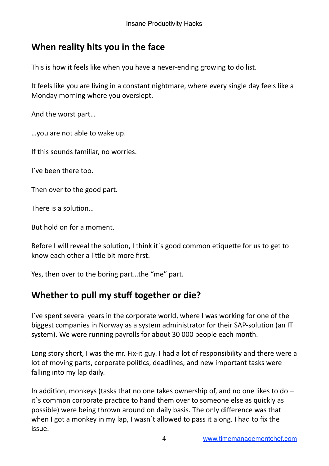#### **When reality hits you in the face**

This is how it feels like when you have a never-ending growing to do list.

It feels like you are living in a constant nightmare, where every single day feels like a Monday morning where you overslept.

And the worst part...

…you are not able to wake up.

If this sounds familiar, no worries.

I've been there too.

Then over to the good part.

There is a solution...

But hold on for a moment.

Before I will reveal the solution, I think it's good common etiquette for us to get to know each other a little bit more first.

Yes, then over to the boring part...the "me" part.

#### **Whether to pull my stuff together or die?**

I've spent several years in the corporate world, where I was working for one of the biggest companies in Norway as a system administrator for their SAP-solution (an IT system). We were running payrolls for about 30 000 people each month.

Long story short, I was the mr. Fix-it guy. I had a lot of responsibility and there were a lot of moving parts, corporate politics, deadlines, and new important tasks were falling into my lap daily.

In addition, monkeys (tasks that no one takes ownership of, and no one likes to do  $$ it's common corporate practice to hand them over to someone else as quickly as possible) were being thrown around on daily basis. The only difference was that when I got a monkey in my lap, I wasn't allowed to pass it along. I had to fix the issue.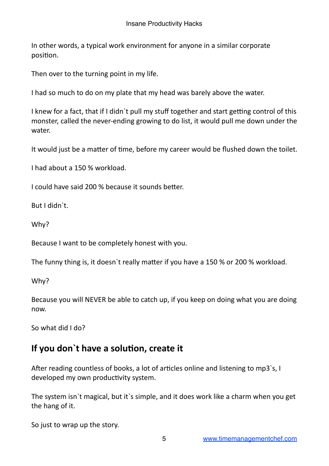In other words, a typical work environment for anyone in a similar corporate position.

Then over to the turning point in my life.

I had so much to do on my plate that my head was barely above the water.

I knew for a fact, that if I didn t pull my stuff together and start getting control of this monster, called the never-ending growing to do list, it would pull me down under the water.

It would just be a matter of time, before my career would be flushed down the toilet.

I had about a 150 % workload. 

I could have said 200 % because it sounds better.

But I didn`t.

Why?

Because I want to be completely honest with you.

The funny thing is, it doesn't really matter if you have a 150 % or 200 % workload.

Why?

Because you will NEVER be able to catch up, if you keep on doing what you are doing now.

So what did I do?

#### If you don't have a solution, create it

After reading countless of books, a lot of articles online and listening to mp3`s, I developed my own productivity system.

The system isn't magical, but it's simple, and it does work like a charm when you get the hang of it.

So just to wrap up the story.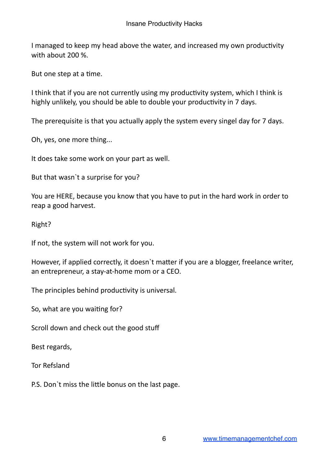I managed to keep my head above the water, and increased my own productivity with about 200 %.

But one step at a time.

I think that if you are not currently using my productivity system, which I think is highly unlikely, you should be able to double your productivity in 7 days.

The prerequisite is that you actually apply the system every singel day for 7 days.

Oh, yes, one more thing...

It does take some work on your part as well.

But that wasn't a surprise for you?

You are HERE, because you know that you have to put in the hard work in order to reap a good harvest.

Right?

If not, the system will not work for you.

However, if applied correctly, it doesn't matter if you are a blogger, freelance writer, an entrepreneur, a stay-at-home mom or a CEO.

The principles behind productivity is universal.

So, what are you waiting for?

Scroll down and check out the good stuff

Best regards,

Tor Refsland

P.S. Don't miss the little bonus on the last page.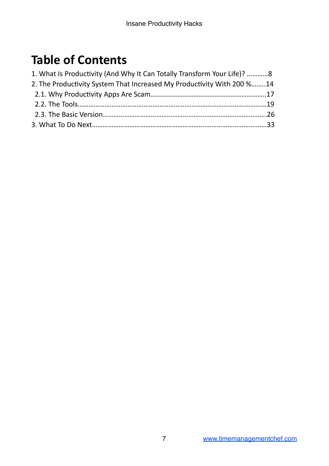## **Table of Contents**

| 1. What Is Productivity (And Why It Can Totally Transform Your Life)? 8 |  |
|-------------------------------------------------------------------------|--|
| 2. The Productivity System That Increased My Productivity With 200 %14  |  |
|                                                                         |  |
|                                                                         |  |
|                                                                         |  |
|                                                                         |  |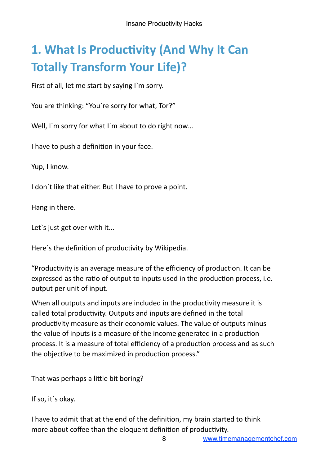## **1. What Is Productivity (And Why It Can Totally Transform Your Life)?**

First of all, let me start by saying I'm sorry.

You are thinking: "You`re sorry for what, Tor?"

Well, I'm sorry for what I'm about to do right now...

I have to push a definition in your face.

Yup, I know.

I don't like that either. But I have to prove a point.

Hang in there.

Let's just get over with it...

Here's the definition of productivity by Wikipedia.

"Productivity is an average measure of the efficiency of production. It can be expressed as the ratio of output to inputs used in the production process, i.e. output per unit of input.

When all outputs and inputs are included in the productivity measure it is called total productivity. Outputs and inputs are defined in the total productivity measure as their economic values. The value of outputs minus the value of inputs is a measure of the income generated in a production process. It is a measure of total efficiency of a production process and as such the objective to be maximized in production process."

That was perhaps a little bit boring?

If so, it's okay.

I have to admit that at the end of the definition, my brain started to think more about coffee than the eloquent definition of productivity.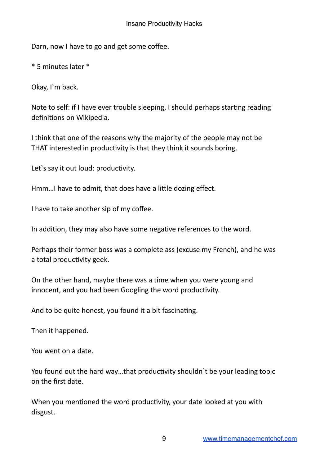Darn, now I have to go and get some coffee.

\* 5 minutes later \*

Okay, I`m back.

Note to self: if I have ever trouble sleeping, I should perhaps starting reading definitions on Wikipedia.

I think that one of the reasons why the majority of the people may not be THAT interested in productivity is that they think it sounds boring.

Let's say it out loud: productivity.

Hmm... I have to admit, that does have a little dozing effect.

I have to take another sip of my coffee.

In addition, they may also have some negative references to the word.

Perhaps their former boss was a complete ass (excuse my French), and he was a total productivity geek.

On the other hand, maybe there was a time when you were young and innocent, and you had been Googling the word productivity.

And to be quite honest, you found it a bit fascinating.

Then it happened.

You went on a date.

You found out the hard way...that productivity shouldn't be your leading topic on the first date.

When you mentioned the word productivity, your date looked at you with disgust.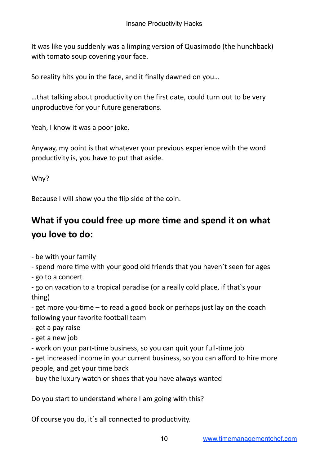It was like you suddenly was a limping version of Quasimodo (the hunchback) with tomato soup covering your face.

So reality hits you in the face, and it finally dawned on you...

...that talking about productivity on the first date, could turn out to be very unproductive for your future generations.

Yeah, I know it was a poor joke.

Anyway, my point is that whatever your previous experience with the word productivity is, you have to put that aside.

Why?

Because I will show you the flip side of the coin.

#### What if you could free up more time and spend it on what **you** love to do:

- be with your family

- spend more time with your good old friends that you haven't seen for ages

- go to a concert

- go on vacation to a tropical paradise (or a really cold place, if that's your thing)

- get more you-time  $-$  to read a good book or perhaps just lay on the coach following your favorite football team

- get a pay raise
- get a new job
- work on your part-time business, so you can quit your full-time job

- get increased income in your current business, so you can afford to hire more people, and get your time back

- buy the luxury watch or shoes that you have always wanted

Do you start to understand where I am going with this?

Of course you do, it's all connected to productivity.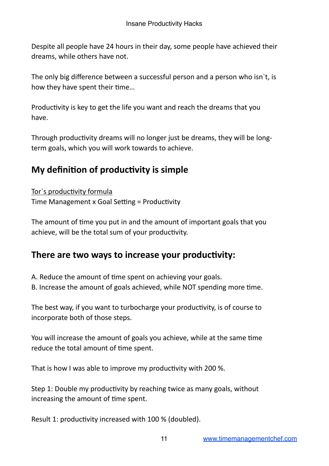Despite all people have 24 hours in their day, some people have achieved their dreams, while others have not.

The only big difference between a successful person and a person who isn't, is how they have spent their time...

Productivity is key to get the life you want and reach the dreams that you have.

Through productivity dreams will no longer just be dreams, they will be longterm goals, which you will work towards to achieve.

#### **My definition of productivity is simple**

Tor`s productivity formula Time Management x Goal Setting = Productivity

The amount of time you put in and the amount of important goals that you achieve, will be the total sum of your productivity.

#### There are two ways to increase your productivity:

A. Reduce the amount of time spent on achieving your goals.

B. Increase the amount of goals achieved, while NOT spending more time.

The best way, if you want to turbocharge your productivity, is of course to incorporate both of those steps.

You will increase the amount of goals you achieve, while at the same time reduce the total amount of time spent.

That is how I was able to improve my productivity with 200 %.

Step 1: Double my productivity by reaching twice as many goals, without increasing the amount of time spent.

Result 1: productivity increased with 100 % (doubled).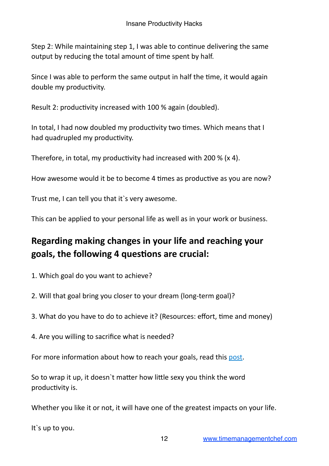Step 2: While maintaining step 1, I was able to continue delivering the same output by reducing the total amount of time spent by half.

Since I was able to perform the same output in half the time, it would again double my productivity.

Result 2: productivity increased with 100 % again (doubled).

In total, I had now doubled my productivity two times. Which means that I had quadrupled my productivity.

Therefore, in total, my productivity had increased with 200 % (x 4).

How awesome would it be to become 4 times as productive as you are now?

Trust me, I can tell you that it's very awesome.

This can be applied to your personal life as well as in your work or business.

#### **Regarding making changes in your life and reaching your** goals, the following 4 questions are crucial:

- 1. Which goal do you want to achieve?
- 2. Will that goal bring you closer to your dream (long-term goal)?
- 3. What do you have to do to achieve it? (Resources: effort, time and money)
- 4. Are you willing to sacrifice what is needed?

For more information about how to reach your goals, read this post.

So to wrap it up, it doesn't matter how little sexy you think the word productivity is.

Whether you like it or not, it will have one of the greatest impacts on your life.

It's up to you.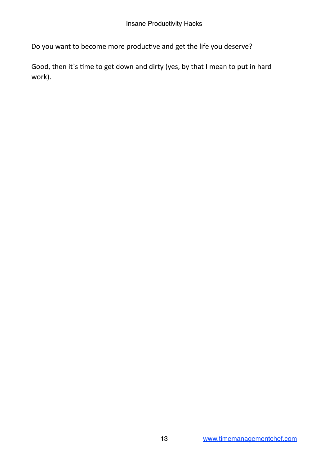Do you want to become more productive and get the life you deserve?

Good, then it's time to get down and dirty (yes, by that I mean to put in hard work).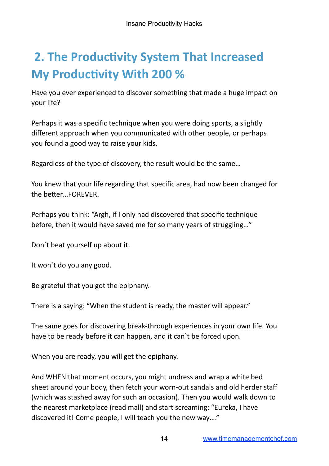## **2. The Productivity System That Increased My Productivity With 200 %**

Have you ever experienced to discover something that made a huge impact on your life?

Perhaps it was a specific technique when you were doing sports, a slightly different approach when you communicated with other people, or perhaps you found a good way to raise your kids.

Regardless of the type of discovery, the result would be the same...

You knew that your life regarding that specific area, had now been changed for the better...FOREVER.

Perhaps you think: "Argh, if I only had discovered that specific technique before, then it would have saved me for so many years of struggling..."

Don't beat yourself up about it.

It won't do you any good.

Be grateful that you got the epiphany.

There is a saying: "When the student is ready, the master will appear."

The same goes for discovering break-through experiences in your own life. You have to be ready before it can happen, and it can't be forced upon.

When you are ready, you will get the epiphany.

And WHEN that moment occurs, you might undress and wrap a white bed sheet around your body, then fetch your worn-out sandals and old herder staff (which was stashed away for such an occasion). Then you would walk down to the nearest marketplace (read mall) and start screaming: "Eureka, I have discovered it! Come people, I will teach you the new way...."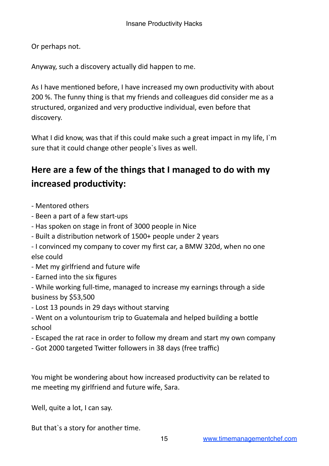Or perhaps not.

Anyway, such a discovery actually did happen to me.

As I have mentioned before, I have increased my own productivity with about 200 %. The funny thing is that my friends and colleagues did consider me as a structured, organized and very productive individual, even before that discovery.

What I did know, was that if this could make such a great impact in my life, I'm sure that it could change other people's lives as well.

#### Here are a few of the things that I managed to do with my increased productivity:

- Mentored others
- Been a part of a few start-ups
- Has spoken on stage in front of 3000 people in Nice
- Built a distribution network of 1500+ people under 2 years
- I convinced my company to cover my first car, a BMW 320d, when no one else could
- Met my girlfriend and future wife
- Earned into the six figures
- While working full-time, managed to increase my earnings through a side business by \$53,500
- Lost 13 pounds in 29 days without starving
- Went on a voluntourism trip to Guatemala and helped building a bottle school
- Escaped the rat race in order to follow my dream and start my own company
- Got 2000 targeted Twitter followers in 38 days (free traffic)

You might be wondering about how increased productivity can be related to me meeting my girlfriend and future wife, Sara.

Well, quite a lot, I can say.

But that's a story for another time.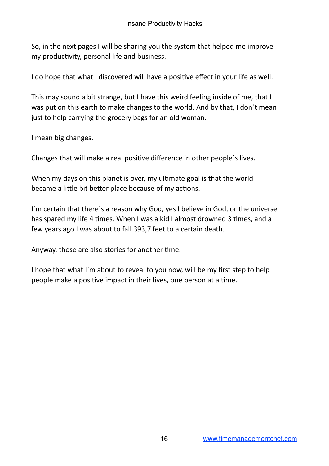So, in the next pages I will be sharing you the system that helped me improve my productivity, personal life and business.

I do hope that what I discovered will have a positive effect in your life as well.

This may sound a bit strange, but I have this weird feeling inside of me, that I was put on this earth to make changes to the world. And by that, I don't mean just to help carrying the grocery bags for an old woman.

I mean big changes.

Changes that will make a real positive difference in other people's lives.

When my days on this planet is over, my ultimate goal is that the world became a little bit better place because of my actions.

I'm certain that there's a reason why God, yes I believe in God, or the universe has spared my life 4 times. When I was a kid I almost drowned 3 times, and a few years ago I was about to fall 393,7 feet to a certain death.

Anyway, those are also stories for another time.

I hope that what I'm about to reveal to you now, will be my first step to help people make a positive impact in their lives, one person at a time.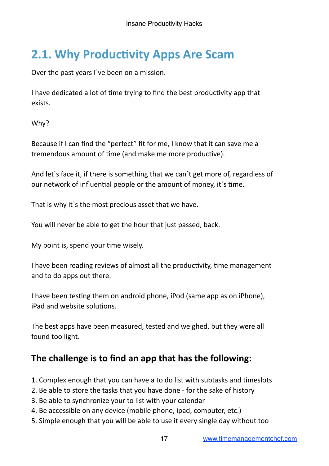## **2.1. Why Productivity Apps Are Scam**

Over the past years I`ve been on a mission.

I have dedicated a lot of time trying to find the best productivity app that exists.

Why?

Because if I can find the "perfect" fit for me, I know that it can save me a tremendous amount of time (and make me more productive).

And let's face it, if there is something that we can't get more of, regardless of our network of influential people or the amount of money, it's time.

That is why it's the most precious asset that we have.

You will never be able to get the hour that just passed, back.

My point is, spend your time wisely.

I have been reading reviews of almost all the productivity, time management and to do apps out there.

I have been testing them on android phone, iPod (same app as on iPhone), iPad and website solutions.

The best apps have been measured, tested and weighed, but they were all found too light.

#### The challenge is to find an app that has the following:

- 1. Complex enough that you can have a to do list with subtasks and timeslots
- 2. Be able to store the tasks that you have done for the sake of history
- 3. Be able to synchronize your to list with your calendar
- 4. Be accessible on any device (mobile phone, ipad, computer, etc.)
- 5. Simple enough that you will be able to use it every single day without too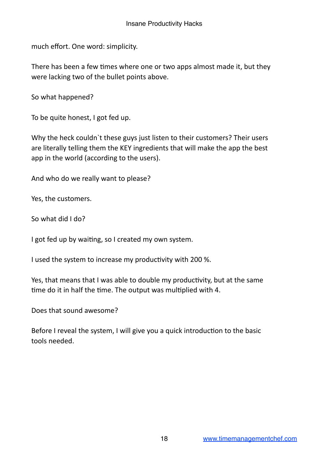much effort. One word: simplicity.

There has been a few times where one or two apps almost made it, but they were lacking two of the bullet points above.

So what happened?

To be quite honest, I got fed up.

Why the heck couldn't these guys just listen to their customers? Their users are literally telling them the KEY ingredients that will make the app the best app in the world (according to the users).

And who do we really want to please?

Yes, the customers.

So what did I do?

I got fed up by waiting, so I created my own system.

I used the system to increase my productivity with 200 %.

Yes, that means that I was able to double my productivity, but at the same time do it in half the time. The output was multiplied with 4.

Does that sound awesome?

Before I reveal the system, I will give you a quick introduction to the basic tools needed.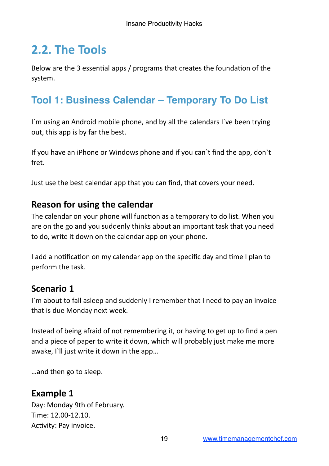## **2.2. The Tools**

Below are the 3 essential apps / programs that creates the foundation of the system.

#### **Tool 1: Business Calendar – Temporary To Do List**

I'm using an Android mobile phone, and by all the calendars I've been trying out, this app is by far the best.

If you have an iPhone or Windows phone and if you can't find the app, don't fret.

Just use the best calendar app that you can find, that covers your need.

#### **Reason for using the calendar**

The calendar on your phone will function as a temporary to do list. When you are on the go and you suddenly thinks about an important task that you need to do, write it down on the calendar app on your phone.

I add a notification on my calendar app on the specific day and time I plan to perform the task.

#### **Scenario 1**

I'm about to fall asleep and suddenly I remember that I need to pay an invoice that is due Monday next week.

Instead of being afraid of not remembering it, or having to get up to find a pen and a piece of paper to write it down, which will probably just make me more awake, I'll just write it down in the app...

...and then go to sleep.

#### **Example 1**

Day: Monday 9th of February. Time: 12.00-12.10. Activity: Pay invoice.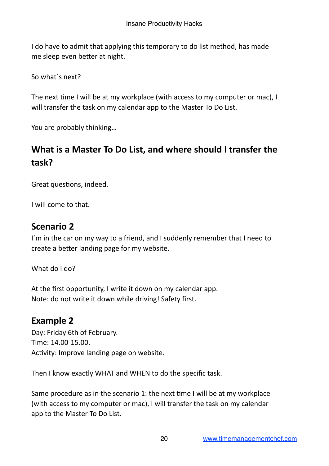I do have to admit that applying this temporary to do list method, has made me sleep even better at night.

So what's next?

The next time I will be at my workplace (with access to my computer or mac), I will transfer the task on my calendar app to the Master To Do List.

You are probably thinking...

#### **What is a Master To Do List, and where should I transfer the task?**

Great questions, indeed.

I will come to that.

#### **Scenario 2**

I'm in the car on my way to a friend, and I suddenly remember that I need to create a better landing page for my website.

What do I do?

At the first opportunity, I write it down on my calendar app. Note: do not write it down while driving! Safety first.

#### **Example 2**

Day: Friday 6th of February. Time: 14.00-15.00. Activity: Improve landing page on website.

Then I know exactly WHAT and WHEN to do the specific task.

Same procedure as in the scenario 1: the next time I will be at my workplace (with access to my computer or mac), I will transfer the task on my calendar app to the Master To Do List.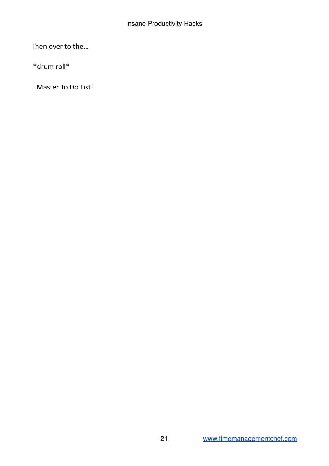Then over to the...

 \*drum roll\*

... Master To Do List!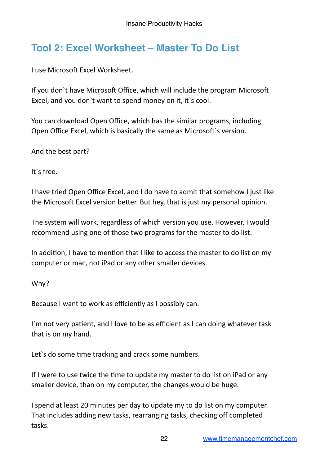#### **Tool 2: Excel Worksheet – Master To Do List**

**I** use Microsoft Excel Worksheet.

If you don't have Microsoft Office, which will include the program Microsoft Excel, and you don't want to spend money on it, it's cool.

You can download Open Office, which has the similar programs, including Open Office Excel, which is basically the same as Microsoft's version.

And the best part?

It's free.

I have tried Open Office Excel, and I do have to admit that somehow I just like the Microsoft Excel version better. But hey, that is just my personal opinion.

The system will work, regardless of which version you use. However, I would recommend using one of those two programs for the master to do list.

In addition, I have to mention that I like to access the master to do list on my computer or mac, not iPad or any other smaller devices.

Why?

Because I want to work as efficiently as I possibly can.

I'm not very patient, and I love to be as efficient as I can doing whatever task that is on my hand.

Let's do some time tracking and crack some numbers.

If I were to use twice the time to update my master to do list on iPad or any smaller device, than on my computer, the changes would be huge.

I spend at least 20 minutes per day to update my to do list on my computer. That includes adding new tasks, rearranging tasks, checking off completed tasks.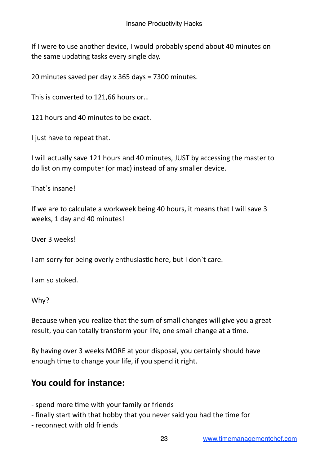If I were to use another device, I would probably spend about 40 minutes on the same updating tasks every single day.

20 minutes saved per day x 365 days = 7300 minutes.

This is converted to 121,66 hours or...

121 hours and 40 minutes to be exact.

I just have to repeat that.

I will actually save 121 hours and 40 minutes, JUST by accessing the master to do list on my computer (or mac) instead of any smaller device.

That`s insanel

If we are to calculate a workweek being 40 hours, it means that I will save 3 weeks, 1 day and 40 minutes!

Over 3 weeks!

I am sorry for being overly enthusiastic here, but I don't care.

I am so stoked.

Why?

Because when you realize that the sum of small changes will give you a great result, you can totally transform your life, one small change at a time.

By having over 3 weeks MORE at your disposal, you certainly should have enough time to change your life, if you spend it right.

#### You could for instance:

- spend more time with your family or friends
- finally start with that hobby that you never said you had the time for
- reconnect with old friends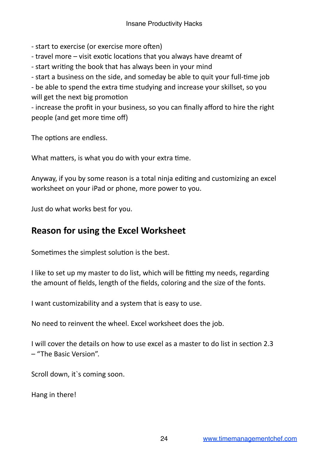- start to exercise (or exercise more often)

- travel more  $-$  visit exotic locations that you always have dreamt of
- start writing the book that has always been in your mind
- start a business on the side, and someday be able to quit your full-time job

- be able to spend the extra time studying and increase your skillset, so you will get the next big promotion

- increase the profit in your business, so you can finally afford to hire the right people (and get more time off)

The options are endless.

What matters, is what you do with your extra time.

Anyway, if you by some reason is a total ninja editing and customizing an excel worksheet on your iPad or phone, more power to you.

Just do what works best for you.

#### **Reason for using the Excel Worksheet**

Sometimes the simplest solution is the best.

I like to set up my master to do list, which will be fitting my needs, regarding the amount of fields, length of the fields, coloring and the size of the fonts.

I want customizability and a system that is easy to use.

No need to reinvent the wheel. Excel worksheet does the job.

I will cover the details on how to use excel as a master to do list in section 2.3 – "The Basic Version". 

Scroll down, it's coming soon.

Hang in there!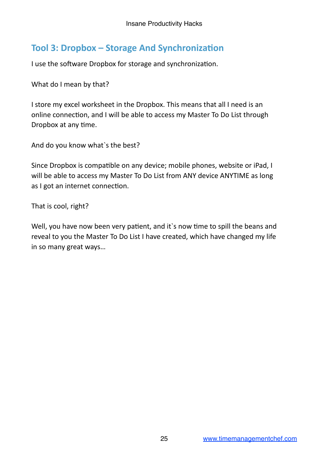#### **Tool 3: Dropbox – Storage And Synchronization**

I use the software Dropbox for storage and synchronization.

What do I mean by that?

I store my excel worksheet in the Dropbox. This means that all I need is an online connection, and I will be able to access my Master To Do List through Dropbox at any time.

And do you know what's the best?

Since Dropbox is compatible on any device; mobile phones, website or iPad, I will be able to access my Master To Do List from ANY device ANYTIME as long as I got an internet connection.

That is cool, right?

Well, you have now been very patient, and it's now time to spill the beans and reveal to you the Master To Do List I have created, which have changed my life in so many great ways...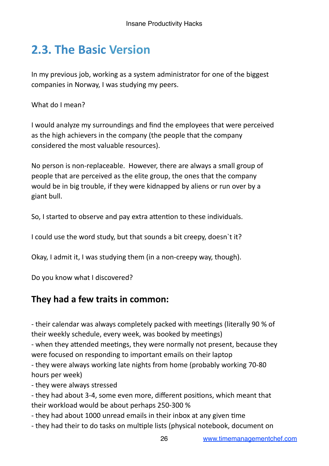## **2.3. The Basic Version**

In my previous job, working as a system administrator for one of the biggest companies in Norway, I was studying my peers.

What do I mean?

I would analyze my surroundings and find the employees that were perceived as the high achievers in the company (the people that the company considered the most valuable resources).

No person is non-replaceable. However, there are always a small group of people that are perceived as the elite group, the ones that the company would be in big trouble, if they were kidnapped by aliens or run over by a giant bull.

So, I started to observe and pay extra attention to these individuals.

I could use the word study, but that sounds a bit creepy, doesn't it?

Okay, I admit it, I was studying them (in a non-creepy way, though).

Do you know what I discovered?

#### They had a few traits in common:

- their calendar was always completely packed with meetings (literally 90 % of their weekly schedule, every week, was booked by meetings)

- when they attended meetings, they were normally not present, because they were focused on responding to important emails on their laptop

- they were always working late nights from home (probably working 70-80) hours per week)

- they were always stressed

- they had about 3-4, some even more, different positions, which meant that their workload would be about perhaps 250-300 %

- they had about 1000 unread emails in their inbox at any given time

- they had their to do tasks on multiple lists (physical notebook, document on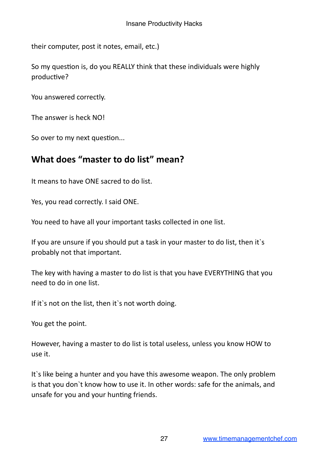their computer, post it notes, email, etc.)

So my question is, do you REALLY think that these individuals were highly productive?

You answered correctly.

The answer is heck NO!

So over to my next question...

#### **What does "master to do list" mean?**

It means to have ONE sacred to do list.

Yes, you read correctly. I said ONE.

You need to have all your important tasks collected in one list.

If you are unsure if you should put a task in your master to do list, then it's probably not that important.

The key with having a master to do list is that you have EVERYTHING that you need to do in one list.

If it's not on the list, then it's not worth doing.

You get the point.

However, having a master to do list is total useless, unless you know HOW to use it.

It's like being a hunter and you have this awesome weapon. The only problem is that you don't know how to use it. In other words: safe for the animals, and unsafe for you and your hunting friends.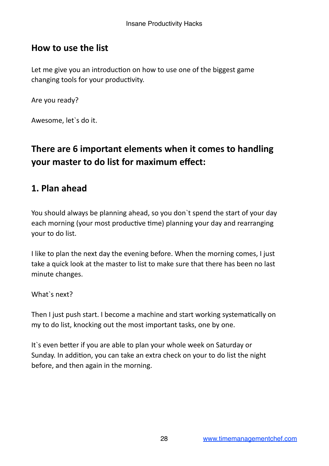#### **How to use the list**

Let me give you an introduction on how to use one of the biggest game changing tools for your productivity.

Are you ready?

Awesome, let's do it.

#### **There are 6 important elements when it comes to handling your master to do list for maximum effect:**

#### **1. Plan ahead**

You should always be planning ahead, so you don't spend the start of your day each morning (your most productive time) planning your day and rearranging your to do list.

I like to plan the next day the evening before. When the morning comes, I just take a quick look at the master to list to make sure that there has been no last minute changes.

What`s next?

Then I iust push start. I become a machine and start working systematically on my to do list, knocking out the most important tasks, one by one.

It's even better if you are able to plan your whole week on Saturday or Sunday. In addition, you can take an extra check on your to do list the night before, and then again in the morning.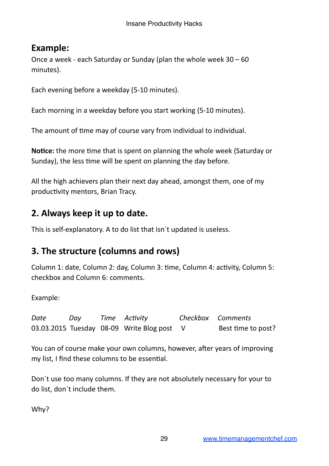#### **Example:**

Once a week - each Saturday or Sunday (plan the whole week  $30 - 60$ minutes).

Each evening before a weekday (5-10 minutes).

Each morning in a weekday before you start working (5-10 minutes).

The amount of time may of course vary from individual to individual.

**Notice:** the more time that is spent on planning the whole week (Saturday or Sunday), the less time will be spent on planning the day before.

All the high achievers plan their next day ahead, amongst them, one of my productivity mentors, Brian Tracy.

#### **2. Always keep it up to date.**

This is self-explanatory. A to do list that isn't updated is useless.

#### **3. The structure (columns and rows)**

Column 1: date, Column 2: day, Column 3: time, Column 4: activity, Column 5: checkbox and Column 6: comments.

Example:

Date Day Time Activity **Checkbox Comments** 03.03.2015 Tuesday  $08-09$  Write Blog post  $V$  Best time to post?

You can of course make your own columns, however, after years of improving my list, I find these columns to be essential.

Don't use too many columns. If they are not absolutely necessary for your to do list, don't include them.

Why?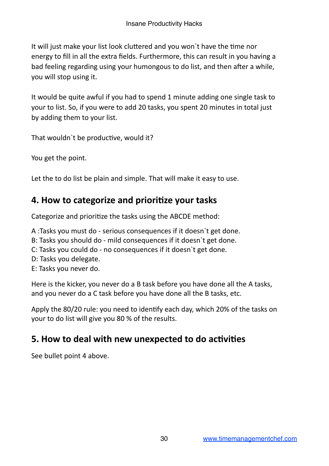It will just make your list look cluttered and you won't have the time nor energy to fill in all the extra fields. Furthermore, this can result in you having a bad feeling regarding using your humongous to do list, and then after a while, you will stop using it.

It would be quite awful if you had to spend 1 minute adding one single task to your to list. So, if you were to add 20 tasks, you spent 20 minutes in total just by adding them to your list.

That wouldn't be productive, would it?

You get the point.

Let the to do list be plain and simple. That will make it easy to use.

#### **4. How to categorize and prioritize your tasks**

Categorize and prioritize the tasks using the ABCDE method:

A :Tasks you must do - serious consequences if it doesn't get done.

- B: Tasks you should do mild consequences if it doesn't get done.
- C: Tasks you could do no consequences if it doesn't get done.
- D: Tasks you delegate.
- E: Tasks you never do.

Here is the kicker, you never do a B task before you have done all the A tasks, and you never do a C task before you have done all the B tasks, etc.

Apply the 80/20 rule: you need to identify each day, which 20% of the tasks on your to do list will give you 80 % of the results.

#### **5. How to deal with new unexpected to do activities**

See bullet point 4 above.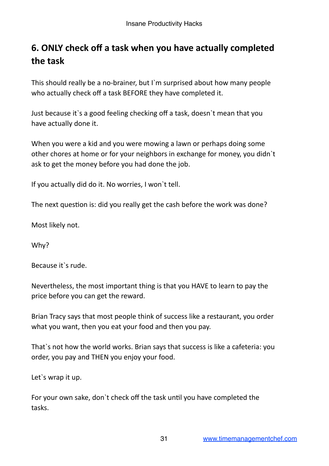#### **6. ONLY check off a task when you have actually completed the task**

This should really be a no-brainer, but I'm surprised about how many people who actually check off a task BEFORE they have completed it.

Just because it's a good feeling checking off a task, doesn't mean that you have actually done it.

When you were a kid and you were mowing a lawn or perhaps doing some other chores at home or for your neighbors in exchange for money, you didn't ask to get the money before you had done the job.

If you actually did do it. No worries, I won't tell.

The next question is: did you really get the cash before the work was done?

Most likely not.

Why?

Because it's rude.

Nevertheless, the most important thing is that you HAVE to learn to pay the price before you can get the reward.

Brian Tracy says that most people think of success like a restaurant, you order what you want, then you eat your food and then you pay.

That's not how the world works. Brian says that success is like a cafeteria: you order, you pay and THEN you enjoy your food.

Let's wrap it up.

For your own sake, don't check off the task until you have completed the tasks.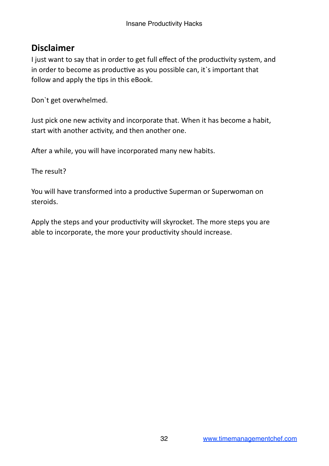#### **Disclaimer**

I just want to say that in order to get full effect of the productivity system, and in order to become as productive as you possible can, it's important that follow and apply the tips in this eBook.

Don't get overwhelmed.

Just pick one new activity and incorporate that. When it has become a habit, start with another activity, and then another one.

After a while, you will have incorporated many new habits.

The result?

You will have transformed into a productive Superman or Superwoman on steroids. 

Apply the steps and your productivity will skyrocket. The more steps you are able to incorporate, the more your productivity should increase.